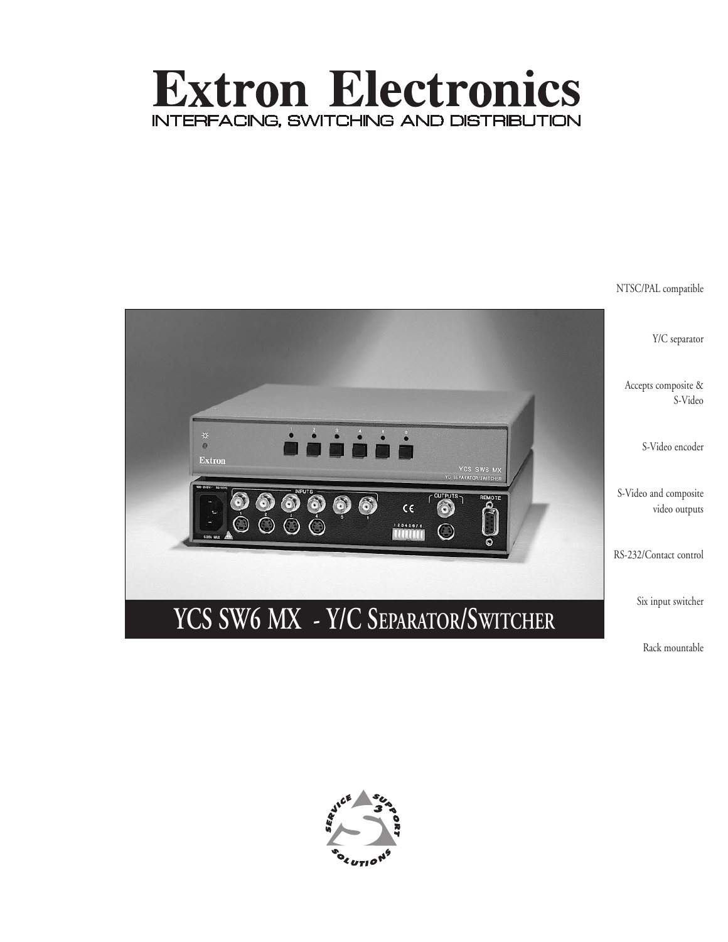# **Extron Electronics** INTERFACING, SWITCHING AND DISTRIBUTION